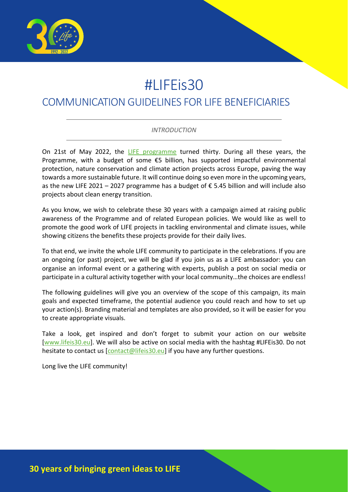

# #LIFEis30

# COMMUNICATION GUIDELINES FOR LIFE BENEFICIARIES

#### *INTRODUCTION*

On 21st of May 2022, the [LIFE programme](https://cinea.ec.europa.eu/life_en) turned thirty. During all these years, the Programme, with a budget of some  $\epsilon$ 5 billion, has supported impactful environmental protection, nature conservation and climate action projects across Europe, paving the way towards a more sustainable future. It will continue doing so even more in the upcoming years, as the new LIFE 2021 – 2027 programme has a budget of  $\epsilon$  5.45 billion and will include also projects about clean energy transition.

As you know, we wish to celebrate these 30 years with a campaign aimed at raising public awareness of the Programme and of related European policies. We would like as well to promote the good work of LIFE projects in tackling environmental and climate issues, while showing citizens the benefits these projects provide for their daily lives.

To that end, we invite the whole LIFE community to participate in the celebrations. If you are an ongoing (or past) project, we will be glad if you join us as a LIFE ambassador: you can organise an informal event or a gathering with experts, publish a post on social media or participate in a cultural activity together with your local community…the choices are endless!

The following guidelines will give you an overview of the scope of this campaign, its main goals and expected timeframe, the potential audience you could reach and how to set up your action(s). Branding material and templates are also provided, so it will be easier for you to create appropriate visuals.

Take a look, get inspired and don't forget to submit your action on our website [\[www.lifeis30.eu\]](http://www.lifeis30.eu/). We will also be active on social media with the hashtag #LIFEis30. Do not hesitate to contact us [\[contact@lifeis30.eu\]](mailto:contact@lifeis30.eu) if you have any further questions.

Long live the LIFE community!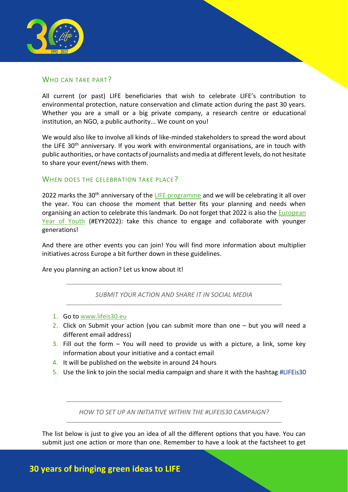

#### WHO CAN TAKE PART?

All current (or past) LIFE beneficiaries that wish to celebrate LIFE's contribution to environmental protection, nature conservation and climate action during the past 30 years. Whether you are a small or a big private company, a research centre or educational institution, an NGO, a public authority... We count on you!

We would also like to involve all kinds of like-minded stakeholders to spread the word about the LIFE  $30<sup>th</sup>$  anniversary. If you work with environmental organisations, are in touch with public authorities, or have contacts of journalists and media at different levels, do not hesitate to share your event/news with them.

#### WHEN DOES THE CELEBRATION TAKE PLACE?

2022 marks the 30<sup>th</sup> anniversary of the [LIFE programme](https://cinea.ec.europa.eu/life_en) and we will be celebrating it all over the year. You can choose the moment that better fits your planning and needs when organising an action to celebrate this landmark. Do not forget that 2022 is also the European [Year of Youth](https://europa.eu/youth/year-of-youth_en) (#EYY2022): take this chance to engage and collaborate with younger generations!

And there are other events you can join! You will find more information about multiplier initiatives across Europe a bit further down in these guidelines.

Are you planning an action? Let us know about it!

*SUBMIT YOUR ACTION AND SHARE IT IN SOCIAL MEDIA*

- 1. Go t[o www.lifeis30.eu](http://www.lifeis30.eu/)
- 2. Click on Submit your action (you can submit more than one but you will need a different email address)
- 3. Fill out the form You will need to provide us with a picture, a link, some key information about your initiative and a contact email
- 4. It will be published on the website in around 24 hours
- 5. Use the link to join the social media campaign and share it with the hashtag #LIFEis30

*HOW TO SET UP AN INITIATIVE WITHIN THE #LIFEIS30 CAMPAIGN?*

The list below is just to give you an idea of all the different options that you have. You can submit just one action or more than one. Remember to have a look at the factsheet to get

## **30 years of bringing green ideas to LIFE**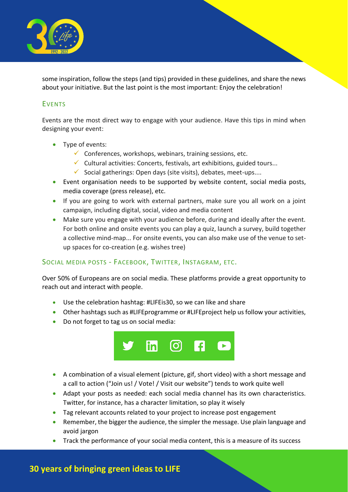

some inspiration, follow the steps (and tips) provided in these guidelines, and share the news about your initiative. But the last point is the most important: Enjoy the celebration!

#### EVENTS

Events are the most direct way to engage with your audience. Have this tips in mind when designing your event:

- Type of events:
	- $\checkmark$  Conferences, workshops, webinars, training sessions, etc.
	- $\checkmark$  Cultural activities: Concerts, festivals, art exhibitions, guided tours...
	- $\checkmark$  Social gatherings: Open days (site visits), debates, meet-ups....
- Event organisation needs to be supported by website content, social media posts, media coverage (press release), etc.
- If you are going to work with external partners, make sure you all work on a joint campaign, including digital, social, video and media content
- Make sure you engage with your audience before, during and ideally after the event. For both online and onsite events you can play a quiz, launch a survey, build together a collective mind-map... For onsite events, you can also make use of the venue to setup spaces for co-creation (e.g. wishes tree)

#### SOCIAL MEDIA POSTS - FACEBOOK, TWITTER, INSTAGRAM, ETC.

Over 50% of Europeans are on social media. These platforms provide a great opportunity to reach out and interact with people.

- Use the celebration hashtag: #LIFEis30, so we can like and share
- Other hashtags such as #LIFEprogramme or #LIFEproject help us follow your activities,
- Do not forget to tag us on social media:



- A combination of a visual element (picture, gif, short video) with a short message and a call to action ("Join us! / Vote! / Visit our website") tends to work quite well
- Adapt your posts as needed: each social media channel has its own characteristics. Twitter, for instance, has a character limitation, so play it wisely
- Tag relevant accounts related to your project to increase post engagement
- Remember, the bigger the audience, the simpler the message. Use plain language and avoid jargon
- Track the performance of your social media content, this is a measure of its success

## **30 years of bringing green ideas to LIFE**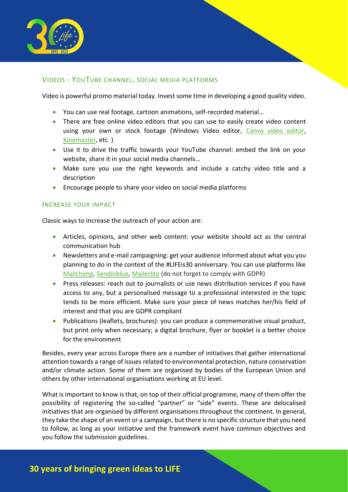

#### VIDEOS - YOUTUBE CHANNEL, SOCIAL MEDIA PLATFORMS

Video is powerful promo material today. Invest some time in developing a good quality video.

- You can use real footage, cartoon animations, self-recorded material…
- There are free online video editors that you can use to easily create video content using your own or stock footage (Windows Video editor, [Canva video editor,](https://www.canva.com/video-editor/) [Kinemaster,](https://www.kinemaster.com/) etc. )
- Use it to drive the traffic towards your YouTube channel: embed the link on your website, share it in your social media channels…
- Make sure you use the right keywords and include a catchy video title and a description
- Encourage people to share your video on social media platforms

#### INCREASE YOUR IMPACT

Classic ways to increase the outreach of your action are:

- Articles, opinions, and other web content: your website should act as the central communication hub
- Newsletters and e-mail campaigning: get your audience informed about what you you planning to do in the context of the #LIFEis30 anniversary. You can use platforms like [Mailchimp,](https://mailchimp.com/) [Sendinblue,](https://www.sendinblue.com/) [Mailerlite](https://www.mailerlite.com/) (do not forget to comply with GDPR)
- Press releases: reach out to journalists or use news distribution services if you have access to any, but a personalised message to a professional interested in the topic tends to be more efficient. Make sure your piece of news matches her/his field of interest and that you are GDPR compliant
- Publications (leaflets, brochures): you can produce a commemorative visual product, but print only when necessary; a digital brochure, flyer or booklet is a better choice for the environment

Besides, every year across Europe there are a number of initiatives that gather international attention towards a range of issues related to environmental protection, nature conservation and/or climate action. Some of them are organised by bodies of the European Union and others by other international organisations working at EU level.

What is important to know is that, on top of their official programme, many of them offer the possibility of registering the so-called "partner" or "side" events. These are delocalised initiatives that are organised by different organisations throughout the continent. In general, they take the shape of an event or a campaign, but there is no specific structure that you need to follow, as long as your initiative and the framework event have common objectives and you follow the submission guidelines.

# **30 years of bringing green ideas to LIFE**